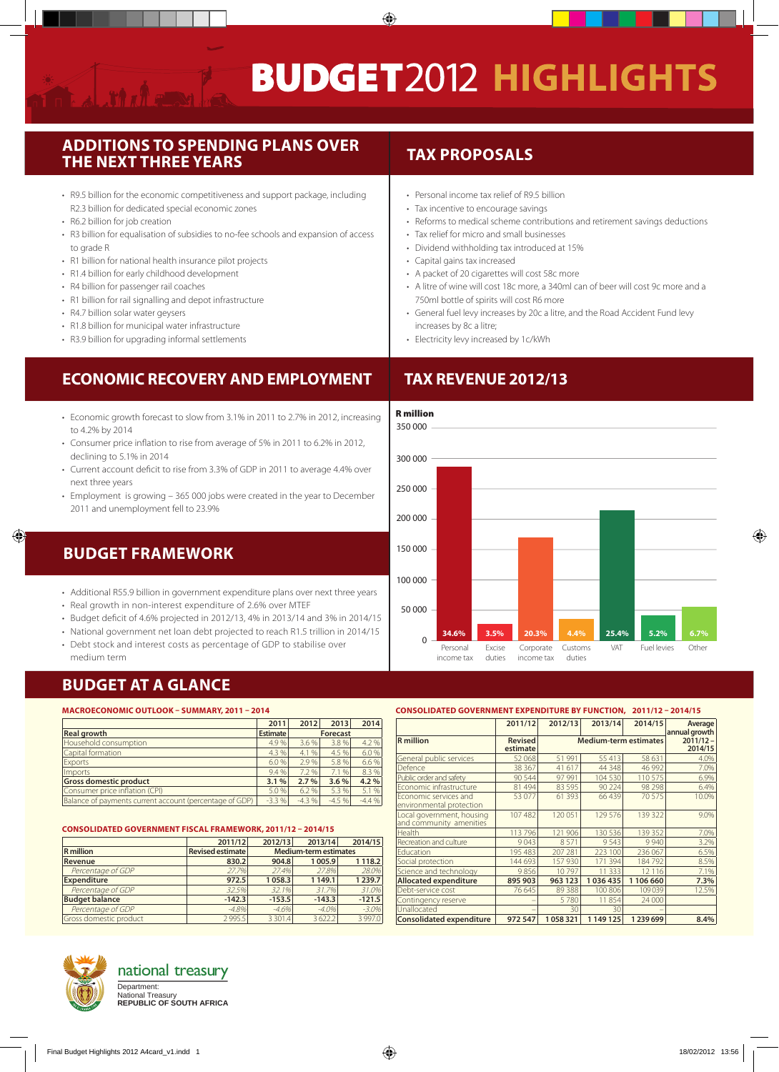$\bigcirc$ 

#### **Additions to spending plans over the next three years**

- R9.5 billion for the economic competitiveness and support package, including R2.3 billion for dedicated special economic zones
- • R6.2 billion for job creation
- R3 billion for equalisation of subsidies to no-fee schools and expansion of access to grade R
- R1 billion for national health insurance pilot projects
- R1.4 billion for early childhood development
- R4 billion for passenger rail coaches
- R1 billion for rail signalling and depot infrastructure
- R4.7 billion solar water geysers
- R1.8 billion for municipal water infrastructure
- R3.9 billion for upgrading informal settlements

## **Economic recovery and employment**

- Economic growth forecast to slow from 3.1% in 2011 to 2.7% in 2012, increasing to 4.2% by 2014
- Consumer price inflation to rise from average of 5% in 2011 to 6.2% in 2012, declining to 5.1% in 2014
- • Current account deficit to rise from 3.3% of GDP in 2011 to average 4.4% over next three years
- Employment is growing 365 000 jobs were created in the year to December 2011 and unemployment fell to 23.9%

# **Budget framework**

 $\bigcirc$ 

- Additional R55.9 billion in government expenditure plans over next three years
- Real growth in non-interest expenditure of 2.6% over MTEF
- • Budget deficit of 4.6% projected in 2012/13, 4% in 2013/14 and 3% in 2014/15
- National government net loan debt projected to reach R1.5 trillion in 2014/15
- Debt stock and interest costs as percentage of GDP to stabilise over medium term

#### **tax proposals**

- Personal income tax relief of R9.5 billion
- Tax incentive to encourage savings
- Reforms to medical scheme contributions and retirement savings deductions
- Tax relief for micro and small businesses
- • Dividend withholding tax introduced at 15%
- • Capital gains tax increased
- • A packet of 20 cigarettes will cost 58c more
- A litre of wine will cost 18c more, a 340ml can of beer will cost 9c more and a 750ml bottle of spirits will cost R6 more
- • General fuel levy increases by 20c a litre, and the Road Accident Fund levy increases by 8c a litre;
- • Electricity levy increased by 1c/kWh

# **Tax revenue 2012/13**



#### **budget at a glance**

#### **Macroeconomic outlook – summary, 2011 – 2014**

|                                                         | 2011            | 2012            | 2013    | 2014    |
|---------------------------------------------------------|-----------------|-----------------|---------|---------|
| <b>Real growth</b>                                      | <b>Estimate</b> | <b>Forecast</b> |         |         |
| Household consumption                                   | 4.9%            | 3.6%            | 3.8%    | 4.2 %   |
| Capital formation                                       | 4.3 %           | 4.1%            | 4.5 %   | 6.0%    |
| Exports                                                 | 6.0%            | 2.9%            | 5.8 %   | 6.6 %   |
| Imports                                                 | 9.4 %           | 7.2%            | 7.1 %   | 8.3 %   |
| <b>Gross domestic product</b>                           | 3.1%            | 2.7%            | 3.6%    | 4.2%    |
| Consumer price inflation (CPI)                          | 5.0 %           | 6.2%            | 5.3 %   | 5.1 %   |
| Balance of payments current account (percentage of GDP) | $-3.3%$         | $-4.3%$         | $-4.5%$ | $-4.4%$ |

|                        | 2011/12                 | 2012/13                      | 2013/14     | 2014/15     |  |
|------------------------|-------------------------|------------------------------|-------------|-------------|--|
| <b>R</b> million       | <b>Revised estimate</b> | <b>Medium-term estimates</b> |             |             |  |
| Revenue                | 830.2                   | 904.8                        | 1 005.9     | 1 1 1 8.2   |  |
| Percentage of GDP      | 27.7%                   | 27.4%                        | 27.8%       | 28.0%       |  |
| <b>Expenditure</b>     | 972.5                   | 1058.3                       | 1 1 4 9 . 1 | 1 2 3 9 . 7 |  |
| Percentage of GDP      | 32.5%                   | 32.1%                        | 31.7%       | 31.0%       |  |
| <b>Budget balance</b>  | $-142.3$                | $-153.5$                     | $-143.3$    | $-121.5$    |  |
| Percentage of GDP      | $-4.8%$                 | $-4.6%$                      | $-4.0%$     | $-3.0\%$    |  |
| Gross domestic product | 2995.5                  | 3 3 0 1.4                    | 3622.2      | 3 9 9 7.0   |  |

#### **2014/15 estimate** General public services  $\begin{array}{|c|c|c|c|c|c|c|c|}\n\hline\n52068 & 51991 & 55413 & 58631 & 4.09 \\
\hline\nDeference & 38367 & 41617 & 44348 & 46992 & 7.09\n\end{array}$ Defence 20 38 367 41 617 44 348 46 992 7.0% Public order and safety **90 544** 97 991 104 530 110 575 6.99 Economic infrastructure 81 494 83 595 90 224 98 298 6.4% Economic services and nvironmental protection 53 077 61 393 66 439 70 575 10.0% Local government, housing and community amenities 107 482 | 120 051 | 129 576 | 139 322 | 9.0% Health 113 796 121 906 130 536 139 352 7.0% ecreation and culture  $\begin{array}{|c|c|c|c|c|c|c|c|}\n\hline\n & 9 & 043 & 8 & 571 & 9 & 543 & 9 & 940 & 3.29 \\
\hline\n\text{ducation} & & 195 & 483 & 207 & 281 & 223 & 100 & 236 & 067 & 6.59\n\end{array}$ Education 195 483 207 281 223 100 236 067 6.5% Social protection 144 693 157 930 171 394 184 792 8.5%<br>Science and technology 8856 10 797 11 333 12116 719 Science and technology 9 856 10 797 11 333 12 116 7.1% **Allocated expenditure**

Debt-service cost 76 645 89 388 100 806 109 039 12.5%

**Consolidated expenditure 972 547 1 058 321 1 149 125 1 239 699 8.4%** 

Unallocated – 1 – 30 30 –

**Consolidated government expenditure by function, 2011/12 – 2014/15**

**R** million **Revised** 

**2011/12 2012/13 2013/14 2014/15 Average<br>
<b>Revised Medium-term estimates** 2011/12-

**Medium-term estimates**



## national treasury

National Treasury **REPUBLIC OF SOUTH AFRICA** Department:

◈

ontingency res